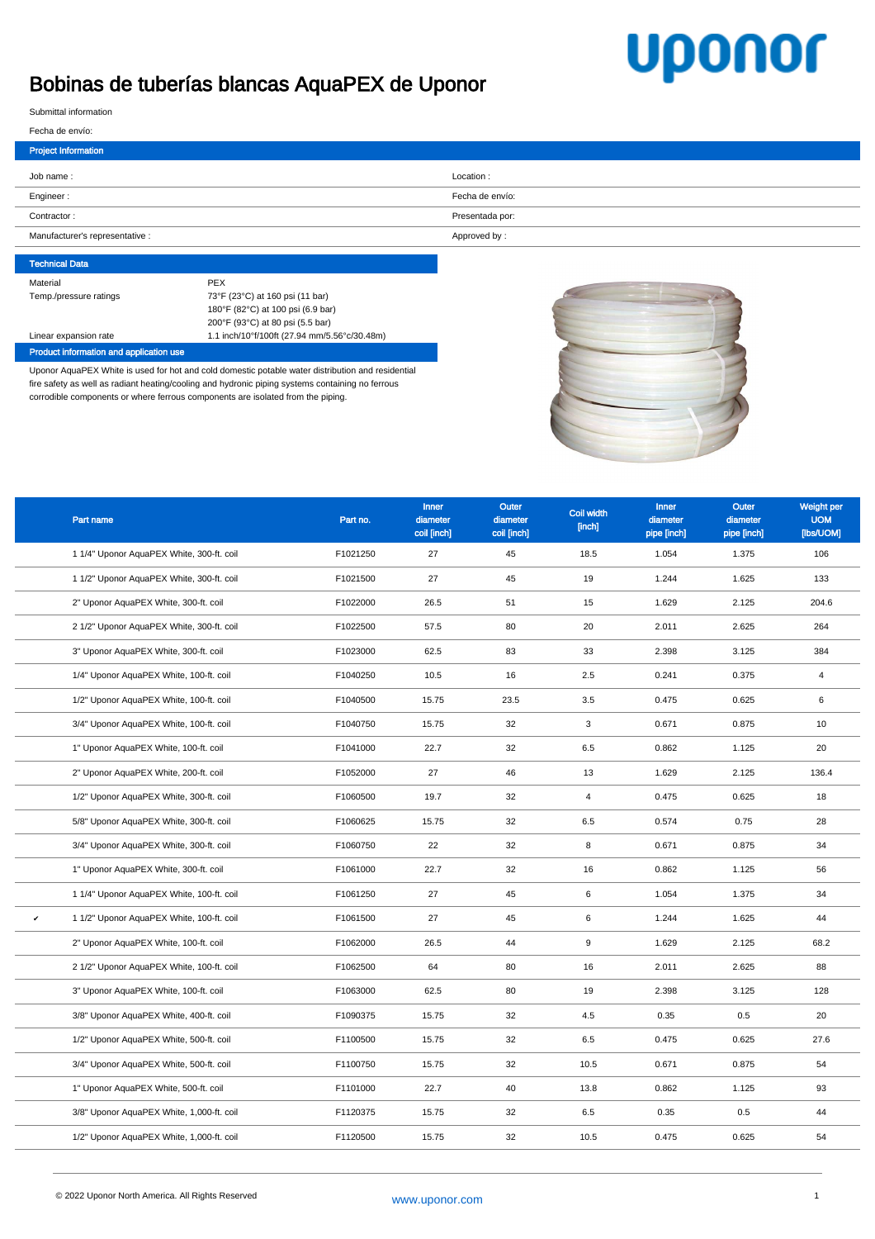## **Uponor**

## Bobinas de tuberías blancas AquaPEX de Uponor

Submittal information

| Fecha de envío: |  |  |
|-----------------|--|--|

| <b>Project Information</b>      |                 |
|---------------------------------|-----------------|
| Job name:                       | Location:       |
| Engineer:                       | Fecha de envío: |
| Contractor:                     | Presentada por: |
| Manufacturer's representative : | Approved by:    |

## Technical Data Material PEX Temp./pressure ratings 73°F (23°C) at 160 psi (11 bar) 180°F (82°C) at 100 psi (6.9 bar) 200°F (93°C) at 80 psi (5.5 bar) Linear expansion rate 1.1 inch/10°f/100ft (27.94 mm/5.56°c/30.48m) Product information and application use

Uponor AquaPEX White is used for hot and cold domestic potable water distribution and residential fire safety as well as radiant heating/cooling and hydronic piping systems containing no ferrous corrodible components or where ferrous components are isolated from the piping.



|   | Part name                                 | Part no. | Inner<br>diameter | Outer<br>diameter | Coil width<br>[inch] | <b>Inner</b><br>diameter | <b>Outer</b><br>diameter | Weight per<br><b>UOM</b> |
|---|-------------------------------------------|----------|-------------------|-------------------|----------------------|--------------------------|--------------------------|--------------------------|
|   |                                           |          | coil [inch]       | coil [inch]       |                      | pipe [inch]              | pipe [inch]              | [lbs/UOM]                |
|   | 1 1/4" Uponor AquaPEX White, 300-ft. coil | F1021250 | 27                | 45                | 18.5                 | 1.054                    | 1.375                    | 106                      |
|   | 1 1/2" Uponor AquaPEX White, 300-ft. coil | F1021500 | 27                | 45                | 19                   | 1.244                    | 1.625                    | 133                      |
|   | 2" Uponor AquaPEX White, 300-ft. coil     | F1022000 | 26.5              | 51                | 15                   | 1.629                    | 2.125                    | 204.6                    |
|   | 2 1/2" Uponor AquaPEX White, 300-ft. coil | F1022500 | 57.5              | 80                | 20                   | 2.011                    | 2.625                    | 264                      |
|   | 3" Uponor AquaPEX White, 300-ft. coil     | F1023000 | 62.5              | 83                | 33                   | 2.398                    | 3.125                    | 384                      |
|   | 1/4" Uponor AquaPEX White, 100-ft. coil   | F1040250 | 10.5              | 16                | 2.5                  | 0.241                    | 0.375                    | $\overline{4}$           |
|   | 1/2" Uponor AquaPEX White, 100-ft. coil   | F1040500 | 15.75             | 23.5              | 3.5                  | 0.475                    | 0.625                    | 6                        |
|   | 3/4" Uponor AquaPEX White, 100-ft. coil   | F1040750 | 15.75             | 32                | 3                    | 0.671                    | 0.875                    | 10                       |
|   | 1" Uponor AquaPEX White, 100-ft. coil     | F1041000 | 22.7              | 32                | 6.5                  | 0.862                    | 1.125                    | 20                       |
|   | 2" Uponor AquaPEX White, 200-ft. coil     | F1052000 | 27                | 46                | 13                   | 1.629                    | 2.125                    | 136.4                    |
|   | 1/2" Uponor AquaPEX White, 300-ft. coil   | F1060500 | 19.7              | 32                | $\overline{4}$       | 0.475                    | 0.625                    | 18                       |
|   | 5/8" Uponor AquaPEX White, 300-ft. coil   | F1060625 | 15.75             | 32                | 6.5                  | 0.574                    | 0.75                     | 28                       |
|   | 3/4" Uponor AquaPEX White, 300-ft. coil   | F1060750 | 22                | 32                | 8                    | 0.671                    | 0.875                    | 34                       |
|   | 1" Uponor AquaPEX White, 300-ft. coil     | F1061000 | 22.7              | 32                | 16                   | 0.862                    | 1.125                    | 56                       |
|   | 1 1/4" Uponor AquaPEX White, 100-ft. coil | F1061250 | 27                | 45                | 6                    | 1.054                    | 1.375                    | 34                       |
| v | 1 1/2" Uponor AquaPEX White, 100-ft. coil | F1061500 | 27                | 45                | 6                    | 1.244                    | 1.625                    | 44                       |
|   | 2" Uponor AquaPEX White, 100-ft. coil     | F1062000 | 26.5              | 44                | 9                    | 1.629                    | 2.125                    | 68.2                     |
|   | 2 1/2" Uponor AquaPEX White, 100-ft. coil | F1062500 | 64                | 80                | 16                   | 2.011                    | 2.625                    | 88                       |
|   | 3" Uponor AquaPEX White, 100-ft. coil     | F1063000 | 62.5              | 80                | 19                   | 2.398                    | 3.125                    | 128                      |
|   | 3/8" Uponor AquaPEX White, 400-ft. coil   | F1090375 | 15.75             | 32                | 4.5                  | 0.35                     | 0.5                      | 20                       |
|   | 1/2" Uponor AquaPEX White, 500-ft. coil   | F1100500 | 15.75             | 32                | 6.5                  | 0.475                    | 0.625                    | 27.6                     |
|   | 3/4" Uponor AquaPEX White, 500-ft. coil   | F1100750 | 15.75             | 32                | 10.5                 | 0.671                    | 0.875                    | 54                       |
|   | 1" Uponor AquaPEX White, 500-ft. coil     | F1101000 | 22.7              | 40                | 13.8                 | 0.862                    | 1.125                    | 93                       |
|   | 3/8" Uponor AquaPEX White, 1,000-ft. coil | F1120375 | 15.75             | 32                | 6.5                  | 0.35                     | 0.5                      | 44                       |
|   | 1/2" Uponor AquaPEX White, 1,000-ft. coil | F1120500 | 15.75             | 32                | 10.5                 | 0.475                    | 0.625                    | 54                       |
|   |                                           |          |                   |                   |                      |                          |                          |                          |